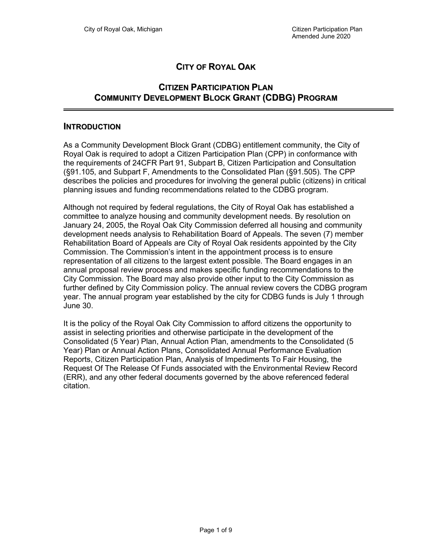# CITY OF ROYAL OAK

### CITIZEN PARTICIPATION PLAN COMMUNITY DEVELOPMENT BLOCK GRANT (CDBG) PROGRAM

#### INTRODUCTION

As a Community Development Block Grant (CDBG) entitlement community, the City of Royal Oak is required to adopt a Citizen Participation Plan (CPP) in conformance with the requirements of 24CFR Part 91, Subpart B, Citizen Participation and Consultation (§91.105, and Subpart F, Amendments to the Consolidated Plan (§91.505). The CPP describes the policies and procedures for involving the general public (citizens) in critical planning issues and funding recommendations related to the CDBG program.

Although not required by federal regulations, the City of Royal Oak has established a committee to analyze housing and community development needs. By resolution on January 24, 2005, the Royal Oak City Commission deferred all housing and community development needs analysis to Rehabilitation Board of Appeals. The seven (7) member Rehabilitation Board of Appeals are City of Royal Oak residents appointed by the City Commission. The Commission's intent in the appointment process is to ensure representation of all citizens to the largest extent possible. The Board engages in an annual proposal review process and makes specific funding recommendations to the City Commission. The Board may also provide other input to the City Commission as further defined by City Commission policy. The annual review covers the CDBG program year. The annual program year established by the city for CDBG funds is July 1 through June 30.

It is the policy of the Royal Oak City Commission to afford citizens the opportunity to assist in selecting priorities and otherwise participate in the development of the Consolidated (5 Year) Plan, Annual Action Plan, amendments to the Consolidated (5 Year) Plan or Annual Action Plans, Consolidated Annual Performance Evaluation Reports, Citizen Participation Plan, Analysis of Impediments To Fair Housing, the Request Of The Release Of Funds associated with the Environmental Review Record (ERR), and any other federal documents governed by the above referenced federal citation.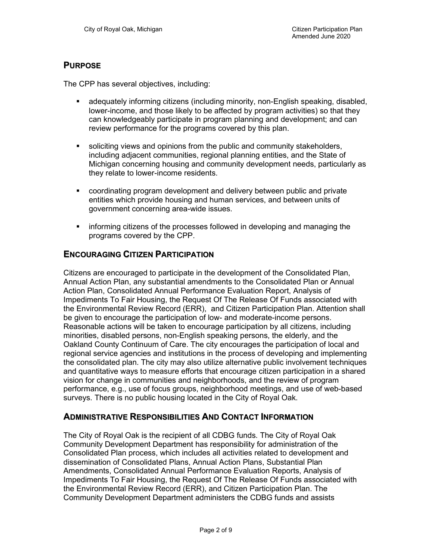### PURPOSE

The CPP has several objectives, including:

- adequately informing citizens (including minority, non-English speaking, disabled, lower-income, and those likely to be affected by program activities) so that they can knowledgeably participate in program planning and development; and can review performance for the programs covered by this plan.
- soliciting views and opinions from the public and community stakeholders, including adjacent communities, regional planning entities, and the State of Michigan concerning housing and community development needs, particularly as they relate to lower-income residents.
- coordinating program development and delivery between public and private entities which provide housing and human services, and between units of government concerning area-wide issues.
- informing citizens of the processes followed in developing and managing the programs covered by the CPP.

#### ENCOURAGING CITIZEN PARTICIPATION

Citizens are encouraged to participate in the development of the Consolidated Plan, Annual Action Plan, any substantial amendments to the Consolidated Plan or Annual Action Plan, Consolidated Annual Performance Evaluation Report, Analysis of Impediments To Fair Housing, the Request Of The Release Of Funds associated with the Environmental Review Record (ERR), and Citizen Participation Plan. Attention shall be given to encourage the participation of low- and moderate-income persons. Reasonable actions will be taken to encourage participation by all citizens, including minorities, disabled persons, non-English speaking persons, the elderly, and the Oakland County Continuum of Care. The city encourages the participation of local and regional service agencies and institutions in the process of developing and implementing the consolidated plan. The city may also utilize alternative public involvement techniques and quantitative ways to measure efforts that encourage citizen participation in a shared vision for change in communities and neighborhoods, and the review of program performance, e.g., use of focus groups, neighborhood meetings, and use of web-based surveys. There is no public housing located in the City of Royal Oak.

#### ADMINISTRATIVE RESPONSIBILITIES AND CONTACT INFORMATION

The City of Royal Oak is the recipient of all CDBG funds. The City of Royal Oak Community Development Department has responsibility for administration of the Consolidated Plan process, which includes all activities related to development and dissemination of Consolidated Plans, Annual Action Plans, Substantial Plan Amendments, Consolidated Annual Performance Evaluation Reports, Analysis of Impediments To Fair Housing, the Request Of The Release Of Funds associated with the Environmental Review Record (ERR), and Citizen Participation Plan. The Community Development Department administers the CDBG funds and assists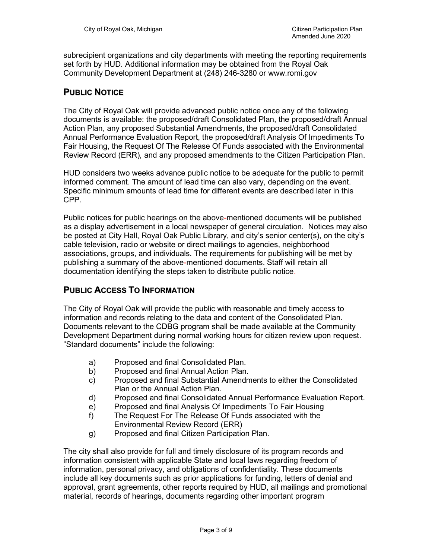subrecipient organizations and city departments with meeting the reporting requirements set forth by HUD. Additional information may be obtained from the Royal Oak Community Development Department at (248) 246-3280 or www.romi.gov

### PUBLIC NOTICE

The City of Royal Oak will provide advanced public notice once any of the following documents is available: the proposed/draft Consolidated Plan, the proposed/draft Annual Action Plan, any proposed Substantial Amendments, the proposed/draft Consolidated Annual Performance Evaluation Report, the proposed/draft Analysis Of Impediments To Fair Housing, the Request Of The Release Of Funds associated with the Environmental Review Record (ERR), and any proposed amendments to the Citizen Participation Plan.

HUD considers two weeks advance public notice to be adequate for the public to permit informed comment. The amount of lead time can also vary, depending on the event. Specific minimum amounts of lead time for different events are described later in this CPP.

Public notices for public hearings on the above-mentioned documents will be published as a display advertisement in a local newspaper of general circulation. Notices may also be posted at City Hall, Royal Oak Public Library, and city's senior center(s), on the city's cable television, radio or website or direct mailings to agencies, neighborhood associations, groups, and individuals. The requirements for publishing will be met by publishing a summary of the above-mentioned documents. Staff will retain all documentation identifying the steps taken to distribute public notice.

#### PUBLIC ACCESS TO INFORMATION

The City of Royal Oak will provide the public with reasonable and timely access to information and records relating to the data and content of the Consolidated Plan. Documents relevant to the CDBG program shall be made available at the Community Development Department during normal working hours for citizen review upon request. "Standard documents" include the following:

- a) Proposed and final Consolidated Plan.
- b) Proposed and final Annual Action Plan.
- c) Proposed and final Substantial Amendments to either the Consolidated Plan or the Annual Action Plan.
- d) Proposed and final Consolidated Annual Performance Evaluation Report.
- e) Proposed and final Analysis Of Impediments To Fair Housing
- f) The Request For The Release Of Funds associated with the Environmental Review Record (ERR)
- g) Proposed and final Citizen Participation Plan.

The city shall also provide for full and timely disclosure of its program records and information consistent with applicable State and local laws regarding freedom of information, personal privacy, and obligations of confidentiality. These documents include all key documents such as prior applications for funding, letters of denial and approval, grant agreements, other reports required by HUD, all mailings and promotional material, records of hearings, documents regarding other important program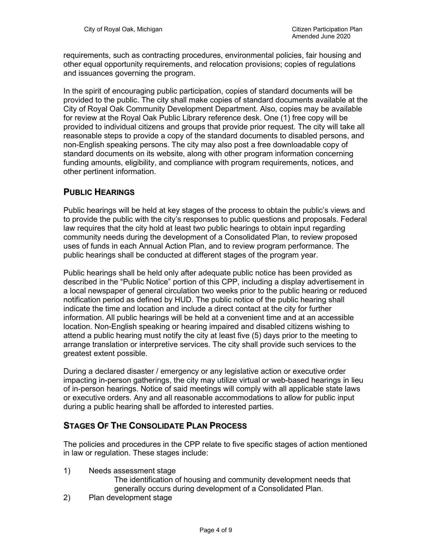requirements, such as contracting procedures, environmental policies, fair housing and other equal opportunity requirements, and relocation provisions; copies of regulations and issuances governing the program.

In the spirit of encouraging public participation, copies of standard documents will be provided to the public. The city shall make copies of standard documents available at the City of Royal Oak Community Development Department. Also, copies may be available for review at the Royal Oak Public Library reference desk. One (1) free copy will be provided to individual citizens and groups that provide prior request. The city will take all reasonable steps to provide a copy of the standard documents to disabled persons, and non-English speaking persons. The city may also post a free downloadable copy of standard documents on its website, along with other program information concerning funding amounts, eligibility, and compliance with program requirements, notices, and other pertinent information.

### PUBLIC HEARINGS

Public hearings will be held at key stages of the process to obtain the public's views and to provide the public with the city's responses to public questions and proposals. Federal law requires that the city hold at least two public hearings to obtain input regarding community needs during the development of a Consolidated Plan, to review proposed uses of funds in each Annual Action Plan, and to review program performance. The public hearings shall be conducted at different stages of the program year.

Public hearings shall be held only after adequate public notice has been provided as described in the "Public Notice" portion of this CPP, including a display advertisement in a local newspaper of general circulation two weeks prior to the public hearing or reduced notification period as defined by HUD. The public notice of the public hearing shall indicate the time and location and include a direct contact at the city for further information. All public hearings will be held at a convenient time and at an accessible location. Non-English speaking or hearing impaired and disabled citizens wishing to attend a public hearing must notify the city at least five (5) days prior to the meeting to arrange translation or interpretive services. The city shall provide such services to the greatest extent possible.

During a declared disaster / emergency or any legislative action or executive order impacting in-person gatherings, the city may utilize virtual or web-based hearings in lieu of in-person hearings. Notice of said meetings will comply with all applicable state laws or executive orders. Any and all reasonable accommodations to allow for public input during a public hearing shall be afforded to interested parties.

### STAGES OF THE CONSOLIDATE PLAN PROCESS

The policies and procedures in the CPP relate to five specific stages of action mentioned in law or regulation. These stages include:

1) Needs assessment stage

The identification of housing and community development needs that generally occurs during development of a Consolidated Plan.

2) Plan development stage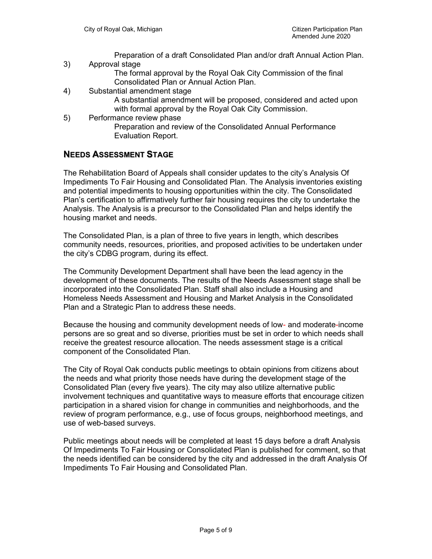Preparation of a draft Consolidated Plan and/or draft Annual Action Plan.

3) Approval stage

The formal approval by the Royal Oak City Commission of the final Consolidated Plan or Annual Action Plan.

- 4) Substantial amendment stage
	- A substantial amendment will be proposed, considered and acted upon with formal approval by the Royal Oak City Commission.
- 5) Performance review phase Preparation and review of the Consolidated Annual Performance Evaluation Report.

#### NEEDS ASSESSMENT STAGE

The Rehabilitation Board of Appeals shall consider updates to the city's Analysis Of Impediments To Fair Housing and Consolidated Plan. The Analysis inventories existing and potential impediments to housing opportunities within the city. The Consolidated Plan's certification to affirmatively further fair housing requires the city to undertake the Analysis. The Analysis is a precursor to the Consolidated Plan and helps identify the housing market and needs.

The Consolidated Plan, is a plan of three to five years in length, which describes community needs, resources, priorities, and proposed activities to be undertaken under the city's CDBG program, during its effect.

The Community Development Department shall have been the lead agency in the development of these documents. The results of the Needs Assessment stage shall be incorporated into the Consolidated Plan. Staff shall also include a Housing and Homeless Needs Assessment and Housing and Market Analysis in the Consolidated Plan and a Strategic Plan to address these needs.

Because the housing and community development needs of low- and moderate-income persons are so great and so diverse, priorities must be set in order to which needs shall receive the greatest resource allocation. The needs assessment stage is a critical component of the Consolidated Plan.

The City of Royal Oak conducts public meetings to obtain opinions from citizens about the needs and what priority those needs have during the development stage of the Consolidated Plan (every five years). The city may also utilize alternative public involvement techniques and quantitative ways to measure efforts that encourage citizen participation in a shared vision for change in communities and neighborhoods, and the review of program performance, e.g., use of focus groups, neighborhood meetings, and use of web-based surveys.

Public meetings about needs will be completed at least 15 days before a draft Analysis Of Impediments To Fair Housing or Consolidated Plan is published for comment, so that the needs identified can be considered by the city and addressed in the draft Analysis Of Impediments To Fair Housing and Consolidated Plan.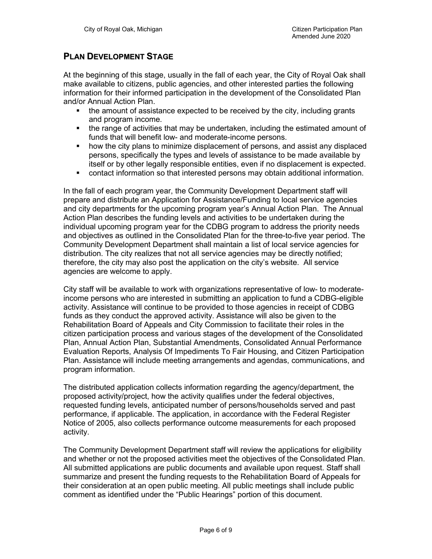#### PLAN DEVELOPMENT STAGE

At the beginning of this stage, usually in the fall of each year, the City of Royal Oak shall make available to citizens, public agencies, and other interested parties the following information for their informed participation in the development of the Consolidated Plan and/or Annual Action Plan.

- $\blacksquare$  the amount of assistance expected to be received by the city, including grants and program income.
- the range of activities that may be undertaken, including the estimated amount of funds that will benefit low- and moderate-income persons.
- how the city plans to minimize displacement of persons, and assist any displaced persons, specifically the types and levels of assistance to be made available by itself or by other legally responsible entities, even if no displacement is expected.
- contact information so that interested persons may obtain additional information.

In the fall of each program year, the Community Development Department staff will prepare and distribute an Application for Assistance/Funding to local service agencies and city departments for the upcoming program year's Annual Action Plan. The Annual Action Plan describes the funding levels and activities to be undertaken during the individual upcoming program year for the CDBG program to address the priority needs and objectives as outlined in the Consolidated Plan for the three-to-five year period. The Community Development Department shall maintain a list of local service agencies for distribution. The city realizes that not all service agencies may be directly notified; therefore, the city may also post the application on the city's website. All service agencies are welcome to apply.

City staff will be available to work with organizations representative of low- to moderateincome persons who are interested in submitting an application to fund a CDBG-eligible activity. Assistance will continue to be provided to those agencies in receipt of CDBG funds as they conduct the approved activity. Assistance will also be given to the Rehabilitation Board of Appeals and City Commission to facilitate their roles in the citizen participation process and various stages of the development of the Consolidated Plan, Annual Action Plan, Substantial Amendments, Consolidated Annual Performance Evaluation Reports, Analysis Of Impediments To Fair Housing, and Citizen Participation Plan. Assistance will include meeting arrangements and agendas, communications, and program information.

The distributed application collects information regarding the agency/department, the proposed activity/project, how the activity qualifies under the federal objectives, requested funding levels, anticipated number of persons/households served and past performance, if applicable. The application, in accordance with the Federal Register Notice of 2005, also collects performance outcome measurements for each proposed activity.

The Community Development Department staff will review the applications for eligibility and whether or not the proposed activities meet the objectives of the Consolidated Plan. All submitted applications are public documents and available upon request. Staff shall summarize and present the funding requests to the Rehabilitation Board of Appeals for their consideration at an open public meeting. All public meetings shall include public comment as identified under the "Public Hearings" portion of this document.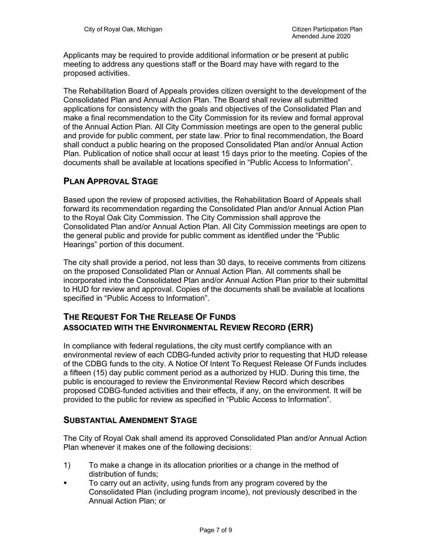Applicants may be required to provide additional information or be present at public meeting to address any questions staff or the Board may have with regard to the proposed activities.

The Rehabilitation Board of Appeals provides citizen oversight to the development of the Consolidated Plan and Annual Action Plan. The Board shall review all submitted applications for consistency with the goals and objectives of the Consolidated Plan and make a final recommendation to the City Commission for its review and formal approval of the Annual Action Plan. All City Commission meetings are open to the general public and provide for public comment, per state law. Prior to final recommendation, the Board shall conduct a public hearing on the proposed Consolidated Plan and/or Annual Action Plan. Publication of notice shall occur at least 15 days prior to the meeting. Copies of the documents shall be available at locations specified in "Public Access to Information".

## PLAN APPROVAL STAGE

Based upon the review of proposed activities, the Rehabilitation Board of Appeals shall forward its recommendation regarding the Consolidated Plan and/or Annual Action Plan to the Royal Oak City Commission. The City Commission shall approve the Consolidated Plan and/or Annual Action Plan. All City Commission meetings are open to the general public and provide for public comment as identified under the "Public Hearings" portion of this document.

The city shall provide a period, not less than 30 days, to receive comments from citizens on the proposed Consolidated Plan or Annual Action Plan. All comments shall be incorporated into the Consolidated Plan and/or Annual Action Plan prior to their submittal to HUD for review and approval. Copies of the documents shall be available at locations specified in "Public Access to Information".

## THE REQUEST FOR THE RELEASE OF FUNDS ASSOCIATED WITH THE ENVIRONMENTAL REVIEW RECORD (ERR)

In compliance with federal regulations, the city must certify compliance with an environmental review of each CDBG-funded activity prior to requesting that HUD release of the CDBG funds to the city. A Notice Of Intent To Request Release Of Funds includes a fifteen (15) day public comment period as a authorized by HUD. During this time, the public is encouraged to review the Environmental Review Record which describes proposed CDBG-funded activities and their effects, if any, on the environment. It will be provided to the public for review as specified in "Public Access to Information".

#### SUBSTANTIAL AMENDMENT STAGE

The City of Royal Oak shall amend its approved Consolidated Plan and/or Annual Action Plan whenever it makes one of the following decisions:

- 1) To make a change in its allocation priorities or a change in the method of distribution of funds;
- To carry out an activity, using funds from any program covered by the Consolidated Plan (including program income), not previously described in the Annual Action Plan; or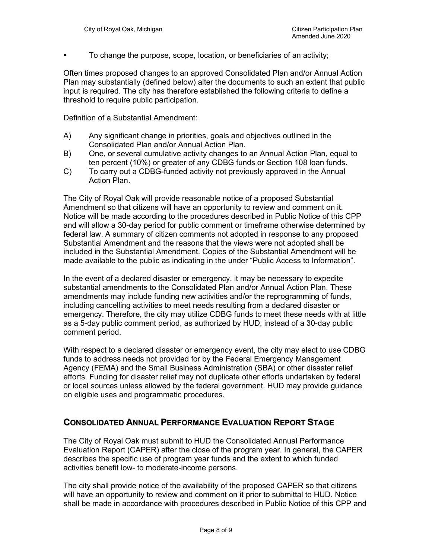To change the purpose, scope, location, or beneficiaries of an activity;

Often times proposed changes to an approved Consolidated Plan and/or Annual Action Plan may substantially (defined below) alter the documents to such an extent that public input is required. The city has therefore established the following criteria to define a threshold to require public participation.

Definition of a Substantial Amendment:

- A) Any significant change in priorities, goals and objectives outlined in the Consolidated Plan and/or Annual Action Plan.
- B) One, or several cumulative activity changes to an Annual Action Plan, equal to ten percent (10%) or greater of any CDBG funds or Section 108 loan funds.
- C) To carry out a CDBG-funded activity not previously approved in the Annual Action Plan.

The City of Royal Oak will provide reasonable notice of a proposed Substantial Amendment so that citizens will have an opportunity to review and comment on it. Notice will be made according to the procedures described in Public Notice of this CPP and will allow a 30-day period for public comment or timeframe otherwise determined by federal law. A summary of citizen comments not adopted in response to any proposed Substantial Amendment and the reasons that the views were not adopted shall be included in the Substantial Amendment. Copies of the Substantial Amendment will be made available to the public as indicating in the under "Public Access to Information".

In the event of a declared disaster or emergency, it may be necessary to expedite substantial amendments to the Consolidated Plan and/or Annual Action Plan. These amendments may include funding new activities and/or the reprogramming of funds, including cancelling activities to meet needs resulting from a declared disaster or emergency. Therefore, the city may utilize CDBG funds to meet these needs with at little as a 5-day public comment period, as authorized by HUD, instead of a 30-day public comment period.

With respect to a declared disaster or emergency event, the city may elect to use CDBG funds to address needs not provided for by the Federal Emergency Management Agency (FEMA) and the Small Business Administration (SBA) or other disaster relief efforts. Funding for disaster relief may not duplicate other efforts undertaken by federal or local sources unless allowed by the federal government. HUD may provide guidance on eligible uses and programmatic procedures.

#### CONSOLIDATED ANNUAL PERFORMANCE EVALUATION REPORT STAGE

The City of Royal Oak must submit to HUD the Consolidated Annual Performance Evaluation Report (CAPER) after the close of the program year. In general, the CAPER describes the specific use of program year funds and the extent to which funded activities benefit low- to moderate-income persons.

The city shall provide notice of the availability of the proposed CAPER so that citizens will have an opportunity to review and comment on it prior to submittal to HUD. Notice shall be made in accordance with procedures described in Public Notice of this CPP and